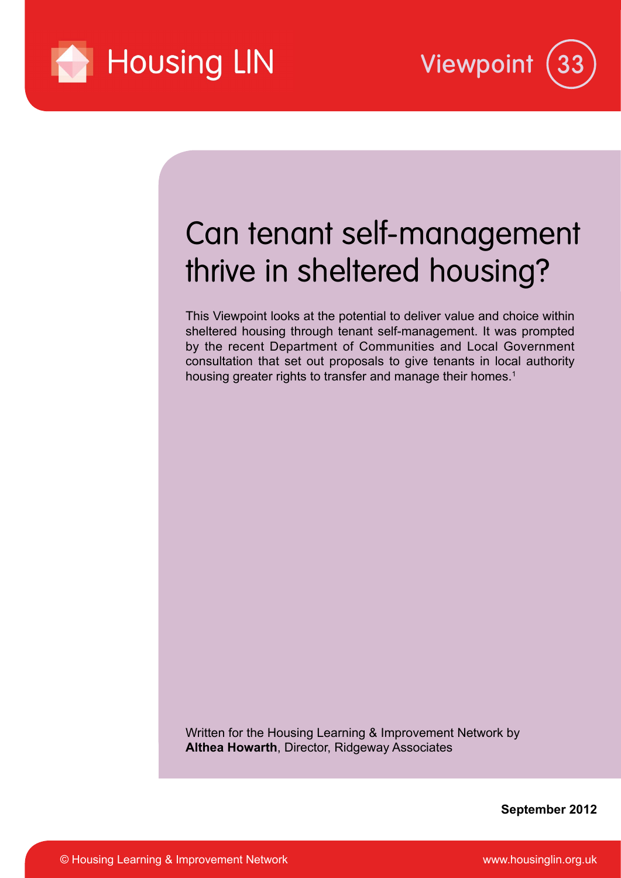



# Can tenant self-management thrive in sheltered housing?

This Viewpoint looks at the potential to deliver value and choice within sheltered housing through tenant self-management. It was prompted by the recent Department of Communities and Local Government consultation that set out proposals to give tenants in local authority housing greater rights to transfer and manage their homes.<sup>1</sup>

Written for the Housing Learning & Improvement Network by **Althea Howarth**, Director, Ridgeway Associates

**September 2012**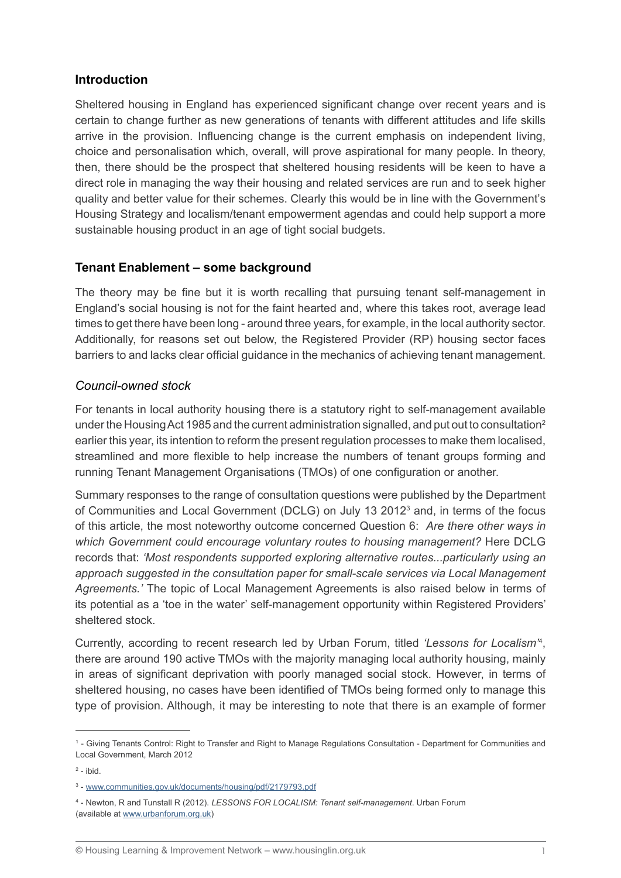# **Introduction**

Sheltered housing in England has experienced significant change over recent years and is certain to change further as new generations of tenants with different attitudes and life skills arrive in the provision. Influencing change is the current emphasis on independent living, choice and personalisation which, overall, will prove aspirational for many people. In theory, then, there should be the prospect that sheltered housing residents will be keen to have a direct role in managing the way their housing and related services are run and to seek higher quality and better value for their schemes. Clearly this would be in line with the Government's Housing Strategy and localism/tenant empowerment agendas and could help support a more sustainable housing product in an age of tight social budgets.

### **Tenant Enablement – some background**

The theory may be fine but it is worth recalling that pursuing tenant self-management in England's social housing is not for the faint hearted and, where this takes root, average lead times to get there have been long - around three years, for example, in the local authority sector. Additionally, for reasons set out below, the Registered Provider (RP) housing sector faces barriers to and lacks clear official guidance in the mechanics of achieving tenant management.

#### *Council-owned stock*

For tenants in local authority housing there is a statutory right to self-management available under the Housing Act 1985 and the current administration signalled, and put out to consultation<sup>2</sup> earlier this year, its intention to reform the present regulation processes to make them localised, streamlined and more flexible to help increase the numbers of tenant groups forming and running Tenant Management Organisations (TMOs) of one configuration or another.

Summary responses to the range of consultation questions were published by the Department of Communities and Local Government (DCLG) on July 13 2012<sup>3</sup> and, in terms of the focus of this article, the most noteworthy outcome concerned Question 6: *Are there other ways in which Government could encourage voluntary routes to housing management?* Here DCLG records that: *'Most respondents supported exploring alternative routes...particularly using an approach suggested in the consultation paper for small-scale services via Local Management Agreements.'* The topic of Local Management Agreements is also raised below in terms of its potential as a 'toe in the water' self-management opportunity within Registered Providers' sheltered stock.

Currently, according to recent research led by Urban Forum, titled *'Lessons for Localism'*<sup>4</sup> , there are around 190 active TMOs with the majority managing local authority housing, mainly in areas of significant deprivation with poorly managed social stock. However, in terms of sheltered housing, no cases have been identified of TMOs being formed only to manage this type of provision. Although, it may be interesting to note that there is an example of former

<sup>1</sup> - Giving Tenants Control: Right to Transfer and Right to Manage Regulations Consultation - Department for Communities and Local Government, March 2012

 $2$  - ibid.

<sup>3</sup> - www.communities.gov.uk/documents/housing/pdf/2179793.pdf

<sup>4</sup> - Newton, R and Tunstall R (2012). *LESSONS FOR LOCALISM: Tenant self-management*. Urban Forum (available at www.urbanforum.org.uk)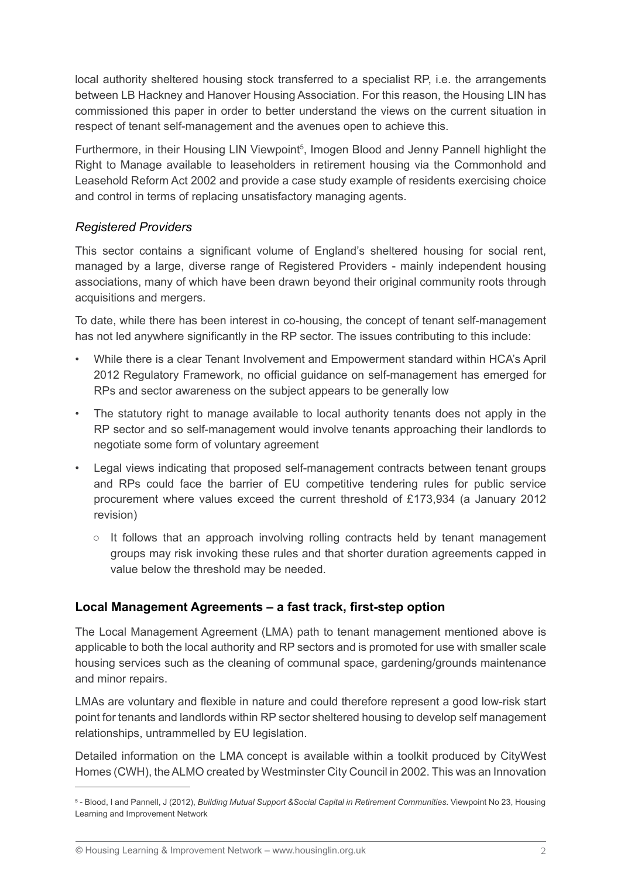local authority sheltered housing stock transferred to a specialist RP, i.e. the arrangements between LB Hackney and Hanover Housing Association. For this reason, the Housing LIN has commissioned this paper in order to better understand the views on the current situation in respect of tenant self-management and the avenues open to achieve this.

Furthermore, in their Housing LIN Viewpoint<sup>5</sup>, Imogen Blood and Jenny Pannell highlight the Right to Manage available to leaseholders in retirement housing via the Commonhold and Leasehold Reform Act 2002 and provide a case study example of residents exercising choice and control in terms of replacing unsatisfactory managing agents.

# *Registered Providers*

This sector contains a significant volume of England's sheltered housing for social rent, managed by a large, diverse range of Registered Providers - mainly independent housing associations, many of which have been drawn beyond their original community roots through acquisitions and mergers.

To date, while there has been interest in co-housing, the concept of tenant self-management has not led anywhere significantly in the RP sector. The issues contributing to this include:

- While there is a clear Tenant Involvement and Empowerment standard within HCA's April 2012 Regulatory Framework, no official guidance on self-management has emerged for RPs and sector awareness on the subject appears to be generally low
- The statutory right to manage available to local authority tenants does not apply in the RP sector and so self-management would involve tenants approaching their landlords to negotiate some form of voluntary agreement
- Legal views indicating that proposed self-management contracts between tenant groups and RPs could face the barrier of EU competitive tendering rules for public service procurement where values exceed the current threshold of £173,934 (a January 2012 revision)
	- $\circ$  It follows that an approach involving rolling contracts held by tenant management groups may risk invoking these rules and that shorter duration agreements capped in value below the threshold may be needed.

# **Local Management Agreements – a fast track, first-step option**

The Local Management Agreement (LMA) path to tenant management mentioned above is applicable to both the local authority and RP sectors and is promoted for use with smaller scale housing services such as the cleaning of communal space, gardening/grounds maintenance and minor repairs.

LMAs are voluntary and flexible in nature and could therefore represent a good low-risk start point for tenants and landlords within RP sector sheltered housing to develop self management relationships, untrammelled by EU legislation.

Detailed information on the LMA concept is available within a toolkit produced by CityWest Homes (CWH), the ALMO created by Westminster City Council in 2002. This was an Innovation

<sup>5</sup> - Blood, I and Pannell, J (2012), *Building Mutual Support &Social Capital in Retirement Communities*. Viewpoint No 23, Housing Learning and Improvement Network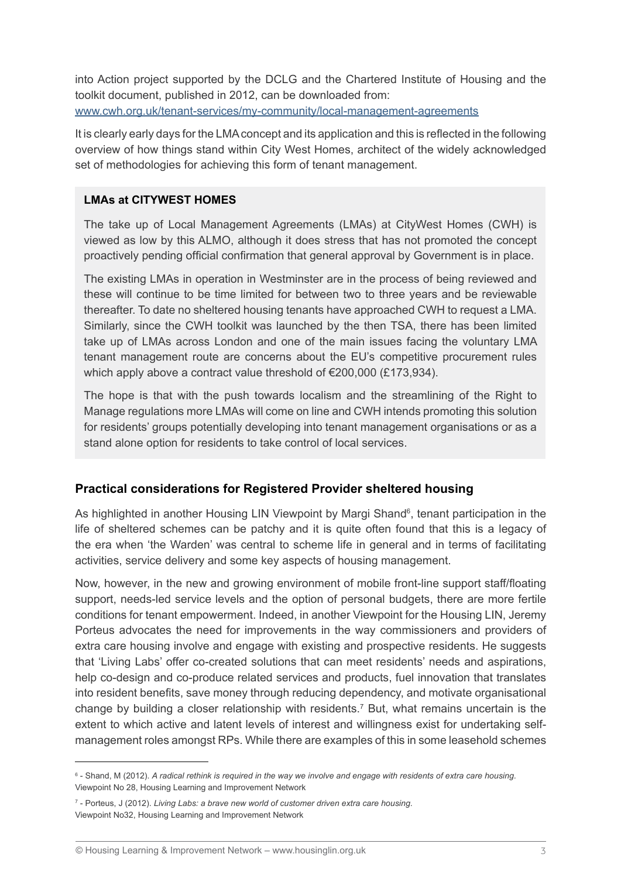into Action project supported by the DCLG and the Chartered Institute of Housing and the toolkit document, published in 2012, can be downloaded from: www.cwh.org.uk/tenant-services/my-community/local-management-agreements

It is clearly early days for the LMA concept and its application and this is reflected in the following overview of how things stand within City West Homes, architect of the widely acknowledged set of methodologies for achieving this form of tenant management.

#### **LMAs at CITYWEST HOMES**

The take up of Local Management Agreements (LMAs) at CityWest Homes (CWH) is viewed as low by this ALMO, although it does stress that has not promoted the concept proactively pending official confirmation that general approval by Government is in place.

The existing LMAs in operation in Westminster are in the process of being reviewed and these will continue to be time limited for between two to three years and be reviewable thereafter. To date no sheltered housing tenants have approached CWH to request a LMA. Similarly, since the CWH toolkit was launched by the then TSA, there has been limited take up of LMAs across London and one of the main issues facing the voluntary LMA tenant management route are concerns about the EU's competitive procurement rules which apply above a contract value threshold of €200,000 (£173,934).

The hope is that with the push towards localism and the streamlining of the Right to Manage regulations more LMAs will come on line and CWH intends promoting this solution for residents' groups potentially developing into tenant management organisations or as a stand alone option for residents to take control of local services.

# **Practical considerations for Registered Provider sheltered housing**

As highlighted in another Housing LIN Viewpoint by Margi Shand<sup>6</sup>, tenant participation in the life of sheltered schemes can be patchy and it is quite often found that this is a legacy of the era when 'the Warden' was central to scheme life in general and in terms of facilitating activities, service delivery and some key aspects of housing management.

Now, however, in the new and growing environment of mobile front-line support staff/floating support, needs-led service levels and the option of personal budgets, there are more fertile conditions for tenant empowerment. Indeed, in another Viewpoint for the Housing LIN, Jeremy Porteus advocates the need for improvements in the way commissioners and providers of extra care housing involve and engage with existing and prospective residents. He suggests that 'Living Labs' offer co-created solutions that can meet residents' needs and aspirations, help co-design and co-produce related services and products, fuel innovation that translates into resident benefits, save money through reducing dependency, and motivate organisational change by building a closer relationship with residents.7 But, what remains uncertain is the extent to which active and latent levels of interest and willingness exist for undertaking selfmanagement roles amongst RPs. While there are examples of this in some leasehold schemes

<sup>6</sup> - Shand, M (2012). *A radical rethink is required in the way we involve and engage with residents of extra care housing*. Viewpoint No 28, Housing Learning and Improvement Network

<sup>7</sup> - Porteus, J (2012). *Living Labs: a brave new world of customer driven extra care housing*. Viewpoint No32, Housing Learning and Improvement Network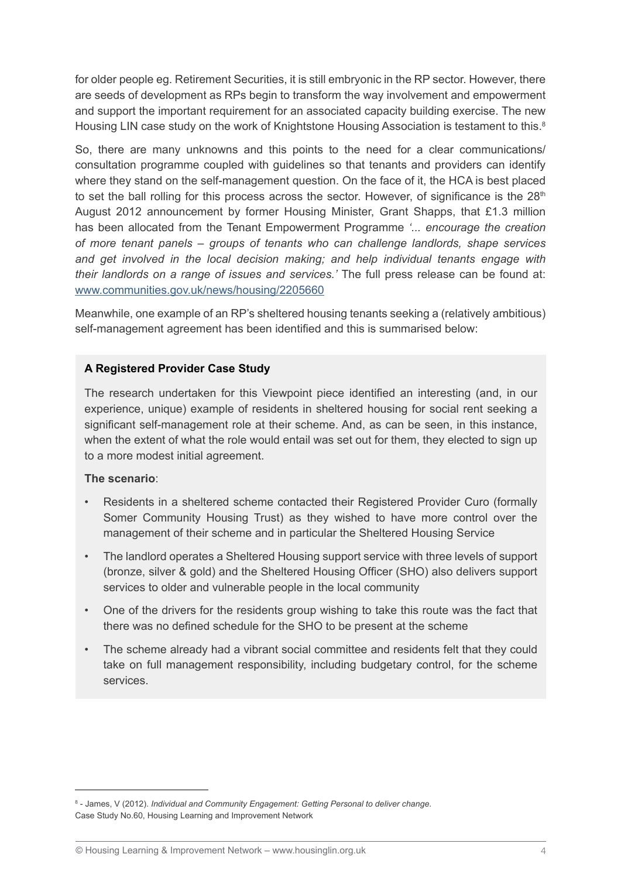for older people eg. Retirement Securities, it is still embryonic in the RP sector. However, there are seeds of development as RPs begin to transform the way involvement and empowerment and support the important requirement for an associated capacity building exercise. The new Housing LIN case study on the work of Knightstone Housing Association is testament to this.<sup>8</sup>

So, there are many unknowns and this points to the need for a clear communications/ consultation programme coupled with guidelines so that tenants and providers can identify where they stand on the self-management question. On the face of it, the HCA is best placed to set the ball rolling for this process across the sector. However, of significance is the  $28<sup>th</sup>$ August 2012 announcement by former Housing Minister, Grant Shapps, that £1.3 million has been allocated from the Tenant Empowerment Programme *'... encourage the creation of more tenant panels – groups of tenants who can challenge landlords, shape services and get involved in the local decision making; and help individual tenants engage with their landlords on a range of issues and services.'* The full press release can be found at: www.communities.gov.uk/news/housing/2205660

Meanwhile, one example of an RP's sheltered housing tenants seeking a (relatively ambitious) self-management agreement has been identified and this is summarised below:

#### **A Registered Provider Case Study**

The research undertaken for this Viewpoint piece identified an interesting (and, in our experience, unique) example of residents in sheltered housing for social rent seeking a significant self-management role at their scheme. And, as can be seen, in this instance, when the extent of what the role would entail was set out for them, they elected to sign up to a more modest initial agreement.

#### **The scenario**:

- Residents in a sheltered scheme contacted their Registered Provider Curo (formally Somer Community Housing Trust) as they wished to have more control over the management of their scheme and in particular the Sheltered Housing Service
- The landlord operates a Sheltered Housing support service with three levels of support (bronze, silver & gold) and the Sheltered Housing Officer (SHO) also delivers support services to older and vulnerable people in the local community
- One of the drivers for the residents group wishing to take this route was the fact that there was no defined schedule for the SHO to be present at the scheme
- The scheme already had a vibrant social committee and residents felt that they could take on full management responsibility, including budgetary control, for the scheme services.

<sup>8</sup> - James, V (2012). *Individual and Community Engagement: Getting Personal to deliver change*. Case Study No.60, Housing Learning and Improvement Network

<sup>©</sup> Housing Learning & Improvement Network – www.housinglin.org.uk 4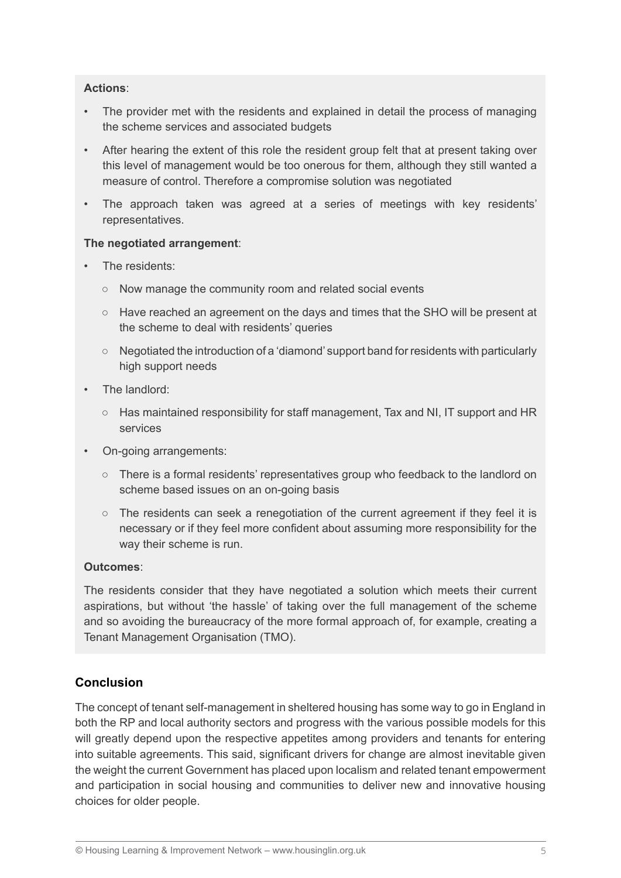#### **Actions**:

- The provider met with the residents and explained in detail the process of managing the scheme services and associated budgets
- After hearing the extent of this role the resident group felt that at present taking over this level of management would be too onerous for them, although they still wanted a measure of control. Therefore a compromise solution was negotiated
- The approach taken was agreed at a series of meetings with key residents' representatives.

#### **The negotiated arrangement**:

- The residents:
	- Now manage the community room and related social events
	- Have reached an agreement on the days and times that the SHO will be present at the scheme to deal with residents' queries
	- Negotiated the introduction of a 'diamond' support band for residents with particularly high support needs
- The landlord:
	- Has maintained responsibility for staff management, Tax and NI, IT support and HR services
- On-going arrangements:
	- There is a formal residents' representatives group who feedback to the landlord on scheme based issues on an on-going basis
	- The residents can seek a renegotiation of the current agreement if they feel it is necessary or if they feel more confident about assuming more responsibility for the way their scheme is run.

#### **Outcomes**:

The residents consider that they have negotiated a solution which meets their current aspirations, but without 'the hassle' of taking over the full management of the scheme and so avoiding the bureaucracy of the more formal approach of, for example, creating a Tenant Management Organisation (TMO).

# **Conclusion**

The concept of tenant self-management in sheltered housing has some way to go in England in both the RP and local authority sectors and progress with the various possible models for this will greatly depend upon the respective appetites among providers and tenants for entering into suitable agreements. This said, significant drivers for change are almost inevitable given the weight the current Government has placed upon localism and related tenant empowerment and participation in social housing and communities to deliver new and innovative housing choices for older people.